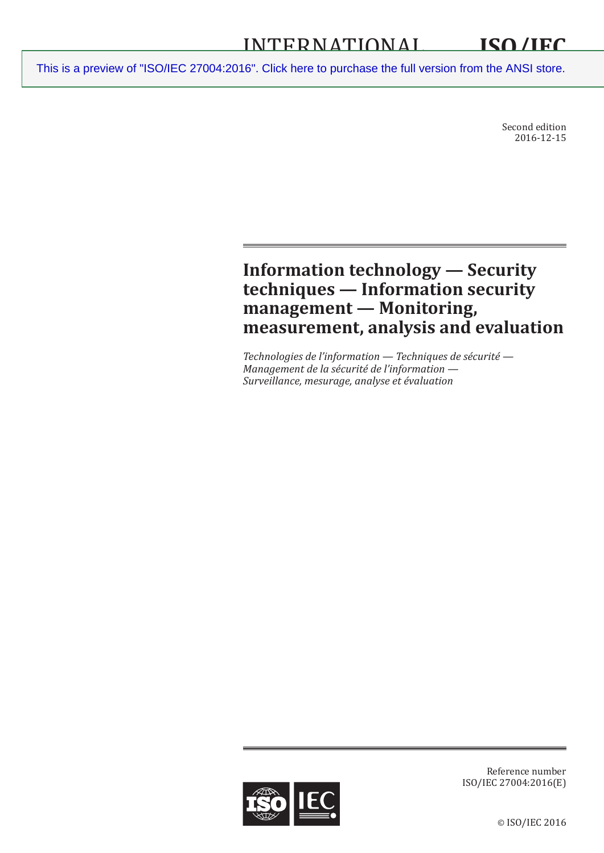Second edition 2016-12-15

## **Information technology — Security techniques — Information security management — Monitoring, measurement, analysis and evaluation**

*Technologies de l'information — Techniques de sécurité — Management de la sécurité de l'information — Surveillance, mesurage, analyse et évaluation*



Reference number ISO/IEC 27004:2016(E)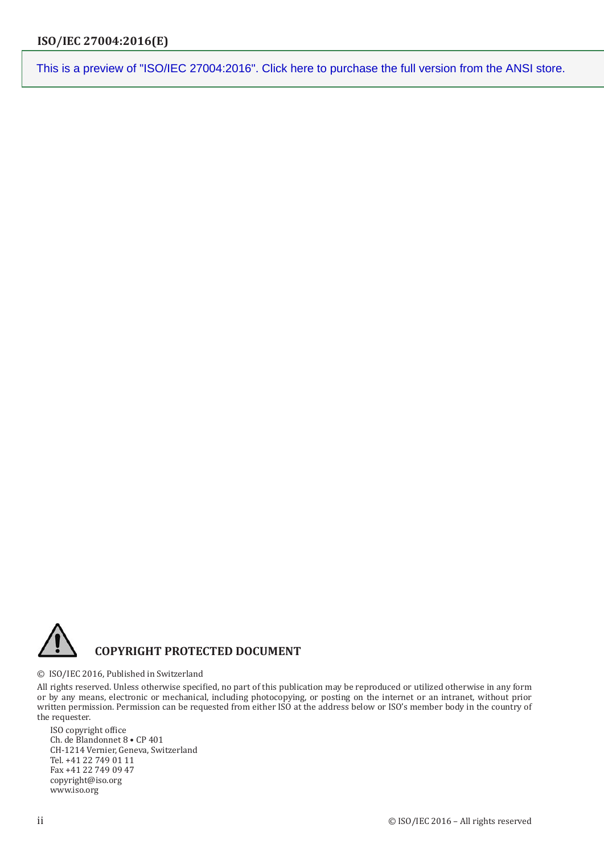

© ISO/IEC 2016, Published in Switzerland

All rights reserved. Unless otherwise specified, no part of this publication may be reproduced or utilized otherwise in any form or by any means, electronic or mechanical, including photocopying, or posting on the internet or an intranet, without prior written permission. Permission can be requested from either ISO at the address below or ISO's member body in the country of the requester.

ISO copyright office Ch. de Blandonnet 8 • CP 401 CH-1214 Vernier, Geneva, Switzerland Tel. +41 22 749 01 11 Fax +41 22 749 09 47 copyright@iso.org www.iso.org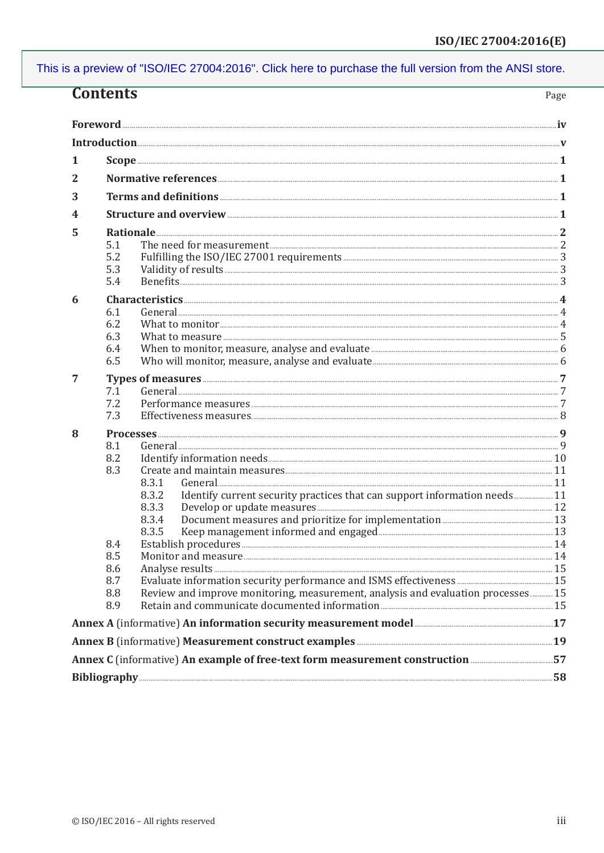| <b>Contents</b><br>Page |                                                                                                                                        |                                                                                                                                                                                                                                |  |  |
|-------------------------|----------------------------------------------------------------------------------------------------------------------------------------|--------------------------------------------------------------------------------------------------------------------------------------------------------------------------------------------------------------------------------|--|--|
|                         |                                                                                                                                        |                                                                                                                                                                                                                                |  |  |
|                         |                                                                                                                                        |                                                                                                                                                                                                                                |  |  |
| 1                       |                                                                                                                                        |                                                                                                                                                                                                                                |  |  |
| 2                       |                                                                                                                                        |                                                                                                                                                                                                                                |  |  |
| 3                       |                                                                                                                                        |                                                                                                                                                                                                                                |  |  |
| 4                       |                                                                                                                                        |                                                                                                                                                                                                                                |  |  |
| 5                       |                                                                                                                                        |                                                                                                                                                                                                                                |  |  |
|                         | 5.1                                                                                                                                    | The need for measurement 2000 and 2000 and 2000 and 2000 and 2000 and 2000 and 2000 and 2000 and 2000 and 2000 and 2000 and 2000 and 2000 and 2000 and 2000 and 2000 and 2000 and 2000 and 2000 and 2000 and 2000 and 2000 and |  |  |
|                         | 5.2                                                                                                                                    |                                                                                                                                                                                                                                |  |  |
|                         | 5.3                                                                                                                                    |                                                                                                                                                                                                                                |  |  |
|                         | 5.4                                                                                                                                    |                                                                                                                                                                                                                                |  |  |
| 6                       |                                                                                                                                        |                                                                                                                                                                                                                                |  |  |
|                         | 6.1                                                                                                                                    |                                                                                                                                                                                                                                |  |  |
|                         | 6.2                                                                                                                                    |                                                                                                                                                                                                                                |  |  |
|                         | 6.3                                                                                                                                    |                                                                                                                                                                                                                                |  |  |
|                         | 6.4                                                                                                                                    |                                                                                                                                                                                                                                |  |  |
|                         | 6.5                                                                                                                                    |                                                                                                                                                                                                                                |  |  |
| 7                       | Types of measures <b>Exercise According to the Contract of Types</b> of measures 27                                                    |                                                                                                                                                                                                                                |  |  |
|                         | 7.1                                                                                                                                    |                                                                                                                                                                                                                                |  |  |
|                         | 7.2                                                                                                                                    |                                                                                                                                                                                                                                |  |  |
|                         | 7.3                                                                                                                                    |                                                                                                                                                                                                                                |  |  |
| 8                       |                                                                                                                                        | <u>Processes</u> 9                                                                                                                                                                                                             |  |  |
|                         | 8.1                                                                                                                                    |                                                                                                                                                                                                                                |  |  |
|                         | 8.2<br>8.3                                                                                                                             |                                                                                                                                                                                                                                |  |  |
|                         |                                                                                                                                        | 8.3.1                                                                                                                                                                                                                          |  |  |
|                         |                                                                                                                                        | Identify current security practices that can support information needs 11<br>8.3.2                                                                                                                                             |  |  |
|                         |                                                                                                                                        | 8.3.3                                                                                                                                                                                                                          |  |  |
|                         |                                                                                                                                        | 8.3.4                                                                                                                                                                                                                          |  |  |
|                         |                                                                                                                                        | 8.3.5                                                                                                                                                                                                                          |  |  |
|                         | 8.4                                                                                                                                    |                                                                                                                                                                                                                                |  |  |
|                         | 8.5                                                                                                                                    |                                                                                                                                                                                                                                |  |  |
|                         | 8.6                                                                                                                                    |                                                                                                                                                                                                                                |  |  |
|                         | 8.7                                                                                                                                    |                                                                                                                                                                                                                                |  |  |
|                         | 8.8                                                                                                                                    | Review and improve monitoring, measurement, analysis and evaluation processes 15                                                                                                                                               |  |  |
|                         | 8.9                                                                                                                                    |                                                                                                                                                                                                                                |  |  |
|                         | Annex A (informative) An information security measurement model <b>Annex A</b> (informative) An information security measurement model |                                                                                                                                                                                                                                |  |  |
|                         |                                                                                                                                        | Annex B (informative) Measurement construct examples <b>Engineering and Service 2018</b>                                                                                                                                       |  |  |
|                         |                                                                                                                                        |                                                                                                                                                                                                                                |  |  |
|                         |                                                                                                                                        |                                                                                                                                                                                                                                |  |  |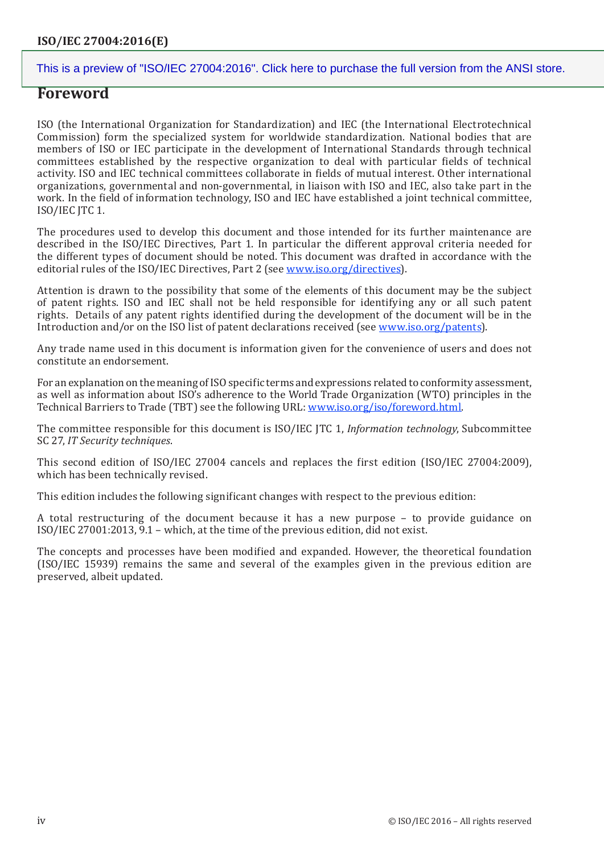## **Foreword**

ISO (the International Organization for Standardization) and IEC (the International Electrotechnical Commission) form the specialized system for worldwide standardization. National bodies that are members of ISO or IEC participate in the development of International Standards through technical committees established by the respective organization to deal with particular fields of technical activity. ISO and IEC technical committees collaborate in fields of mutual interest. Other international organizations, governmental and non-governmental, in liaison with ISO and IEC, also take part in the work. In the field of information technology, ISO and IEC have established a joint technical committee, ISO/IEC JTC 1.

The procedures used to develop this document and those intended for its further maintenance are described in the ISO/IEC Directives, Part 1. In particular the different approval criteria needed for the different types of document should be noted. This document was drafted in accordance with the editorial rules of the ISO/IEC Directives, Part 2 (see [www.iso.org/directives\)](http://www.iso.org/directives).

Attention is drawn to the possibility that some of the elements of this document may be the subject of patent rights. ISO and IEC shall not be held responsible for identifying any or all such patent rights. Details of any patent rights identified during the development of the document will be in the Introduction and/or on the ISO list of patent declarations received (see [www.iso.org/patents](http://www.iso.org/patents)).

Any trade name used in this document is information given for the convenience of users and does not constitute an endorsement.

For an explanation on the meaning of ISO specific terms and expressions related to conformity assessment, as well as information about ISO's adherence to the World Trade Organization (WTO) principles in the Technical Barriers to Trade (TBT) see the following URL: [www.iso.org/iso/foreword.html](http://www.iso.org/iso/foreword.html).

The committee responsible for this document is ISO/IEC JTC 1, *Information technology*, Subcommittee SC 27, *IT Security techniques*.

This second edition of ISO/IEC 27004 cancels and replaces the first edition (ISO/IEC 27004:2009), which has been technically revised.

This edition includes the following significant changes with respect to the previous edition:

A total restructuring of the document because it has a new purpose – to provide guidance on ISO/IEC 27001:2013, 9.1 – which, at the time of the previous edition, did not exist.

The concepts and processes have been modified and expanded. However, the theoretical foundation (ISO/IEC 15939) remains the same and several of the examples given in the previous edition are preserved, albeit updated.